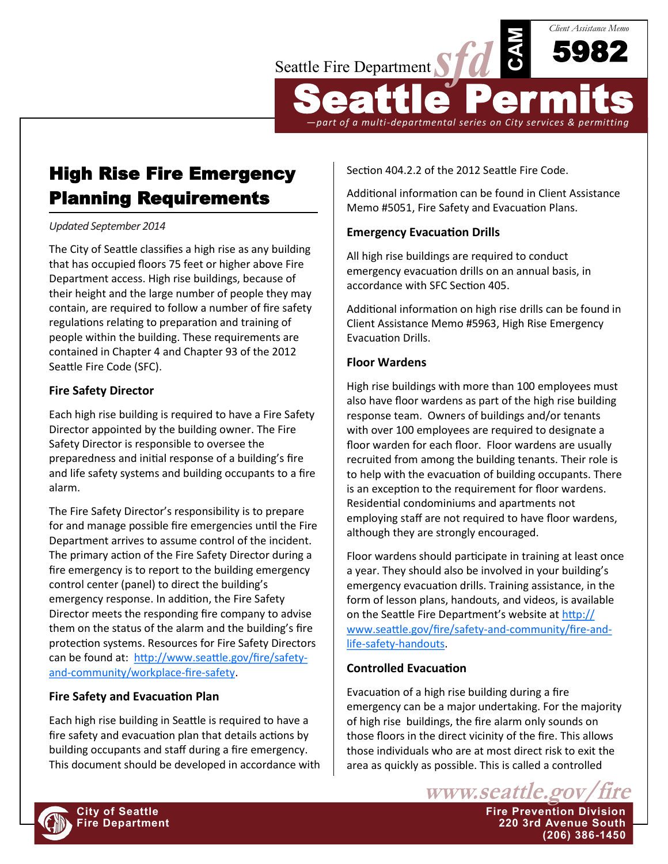

Seattle Permits *—part of a multi-departmental series on City services & permitting*

**CAM**

5982

*Client Assistance Memo*

# High Rise Fire Emergency Planning Requirements

#### *Updated September 2014*

The City of Seattle classifies a high rise as any building that has occupied floors 75 feet or higher above Fire Department access. High rise buildings, because of their height and the large number of people they may contain, are required to follow a number of fire safety regulations relating to preparation and training of people within the building. These requirements are contained in Chapter 4 and Chapter 93 of the 2012 Seattle Fire Code (SFC).

#### **Fire Safety Director**

Each high rise building is required to have a Fire Safety Director appointed by the building owner. The Fire Safety Director is responsible to oversee the preparedness and initial response of a building's fire and life safety systems and building occupants to a fire alarm.

The Fire Safety Director's responsibility is to prepare for and manage possible fire emergencies until the Fire Department arrives to assume control of the incident. The primary action of the Fire Safety Director during a fire emergency is to report to the building emergency control center (panel) to direct the building's emergency response. In addition, the Fire Safety Director meets the responding fire company to advise them on the status of the alarm and the building's fire protection systems. Resources for Fire Safety Directors can be found at: [http://www.seattle.gov/fire/safety](http://www.seattle.gov/fire/safety-and-community/workplace-fire-safety)and-[community/workplace](http://www.seattle.gov/fire/safety-and-community/workplace-fire-safety)-fire-safety.

## **Fire Safety and Evacuation Plan**

Each high rise building in Seattle is required to have a fire safety and evacuation plan that details actions by building occupants and staff during a fire emergency. This document should be developed in accordance with Section 404.2.2 of the 2012 Seattle Fire Code.

Additional information can be found in Client Assistance Memo #5051, Fire Safety and Evacuation Plans.

## **Emergency Evacuation Drills**

All high rise buildings are required to conduct emergency evacuation drills on an annual basis, in accordance with SFC Section 405.

Additional information on high rise drills can be found in Client Assistance Memo #5963, High Rise Emergency Evacuation Drills.

#### **Floor Wardens**

High rise buildings with more than 100 employees must also have floor wardens as part of the high rise building response team. Owners of buildings and/or tenants with over 100 employees are required to designate a floor warden for each floor. Floor wardens are usually recruited from among the building tenants. Their role is to help with the evacuation of building occupants. There is an exception to the requirement for floor wardens. Residential condominiums and apartments not employing staff are not required to have floor wardens, although they are strongly encouraged.

Floor wardens should participate in training at least once a year. They should also be involved in your building's emergency evacuation drills. Training assistance, in the form of lesson plans, handouts, and videos, is available on the Seattle Fire Department's website at [http://](http://www.seattle.gov/fire/safety-and-community/fire-and-life-safety-handouts) [www.seattle.gov/fire/safety](http://www.seattle.gov/fire/safety-and-community/fire-and-life-safety-handouts)-and-community/fire-andlife-safety-[handouts.](http://www.seattle.gov/fire/safety-and-community/fire-and-life-safety-handouts)

# **Controlled Evacuation**

Evacuation of a high rise building during a fire emergency can be a major undertaking. For the majority of high rise buildings, the fire alarm only sounds on those floors in the direct vicinity of the fire. This allows those individuals who are at most direct risk to exit the area as quickly as possible. This is called a controlled

www.seattle.gov **City of Seattle Fire Prevention Division Fire Department 220 3rd Avenue South (206) 386-1450**